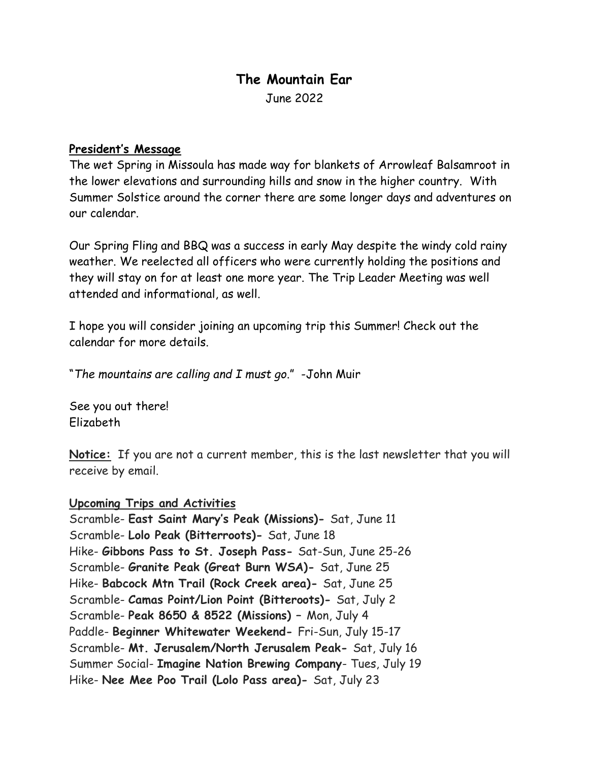# **The Mountain Ear**

June 2022

### **President's Message**

The wet Spring in Missoula has made way for blankets of Arrowleaf Balsamroot in the lower elevations and surrounding hills and snow in the higher country. With Summer Solstice around the corner there are some longer days and adventures on our calendar.

Our Spring Fling and BBQ was a success in early May despite the windy cold rainy weather. We reelected all officers who were currently holding the positions and they will stay on for at least one more year. The Trip Leader Meeting was well attended and informational, as well.

I hope you will consider joining an upcoming trip this Summer! Check out the calendar for more details.

"*The mountains are calling and I must go*." -John Muir

See you out there! Elizabeth

**Notice:** If you are not a current member, this is the last newsletter that you will receive by email.

# **Upcoming Trips and Activities**

Scramble- **East Saint Mary's Peak (Missions)-** Sat, June 11 Scramble- **Lolo Peak (Bitterroots)-** Sat, June 18 Hike- **Gibbons Pass to St. Joseph Pass-** Sat-Sun, June 25-26 Scramble- **Granite Peak (Great Burn WSA)-** Sat, June 25 Hike- **Babcock Mtn Trail (Rock Creek area)-** Sat, June 25 Scramble- **Camas Point/Lion Point (Bitteroots)-** Sat, July 2 Scramble- **Peak 8650 & 8522 (Missions) –** Mon, July 4 Paddle- **Beginner Whitewater Weekend-** Fri-Sun, July 15-17 Scramble- **Mt. Jerusalem/North Jerusalem Peak-** Sat, July 16 Summer Social- **Imagine Nation Brewing Company**- Tues, July 19 Hike- **Nee Mee Poo Trail (Lolo Pass area)-** Sat, July 23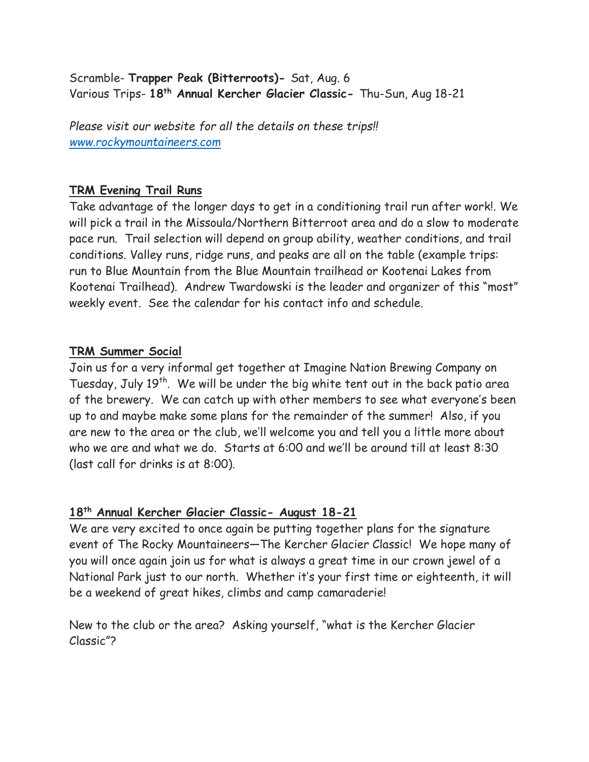# Scramble- **Trapper Peak (Bitterroots)-** Sat, Aug. 6 Various Trips- **18th Annual Kercher Glacier Classic-** Thu-Sun, Aug 18-21

*Please visit our website for all the details on these trips!! [www.rockymountaineers.com](http://www.rockymountaineers.com/)*

### **TRM Evening Trail Runs**

Take advantage of the longer days to get in a conditioning trail run after work!. We will pick a trail in the Missoula/Northern Bitterroot area and do a slow to moderate pace run. Trail selection will depend on group ability, weather conditions, and trail conditions. Valley runs, ridge runs, and peaks are all on the table (example trips: run to Blue Mountain from the Blue Mountain trailhead or Kootenai Lakes from Kootenai Trailhead). Andrew Twardowski is the leader and organizer of this "most" weekly event. See the calendar for his contact info and schedule.

# **TRM Summer Social**

Join us for a very informal get together at Imagine Nation Brewing Company on Tuesday, July  $19<sup>th</sup>$ . We will be under the big white tent out in the back patio area of the brewery. We can catch up with other members to see what everyone's been up to and maybe make some plans for the remainder of the summer! Also, if you are new to the area or the club, we'll welcome you and tell you a little more about who we are and what we do. Starts at 6:00 and we'll be around till at least 8:30 (last call for drinks is at 8:00).

# **18th Annual Kercher Glacier Classic- August 18-21**

We are very excited to once again be putting together plans for the signature event of The Rocky Mountaineers—The Kercher Glacier Classic! We hope many of you will once again join us for what is always a great time in our crown jewel of a National Park just to our north. Whether it's your first time or eighteenth, it will be a weekend of great hikes, climbs and camp camaraderie!

New to the club or the area? Asking yourself, "what is the Kercher Glacier Classic"?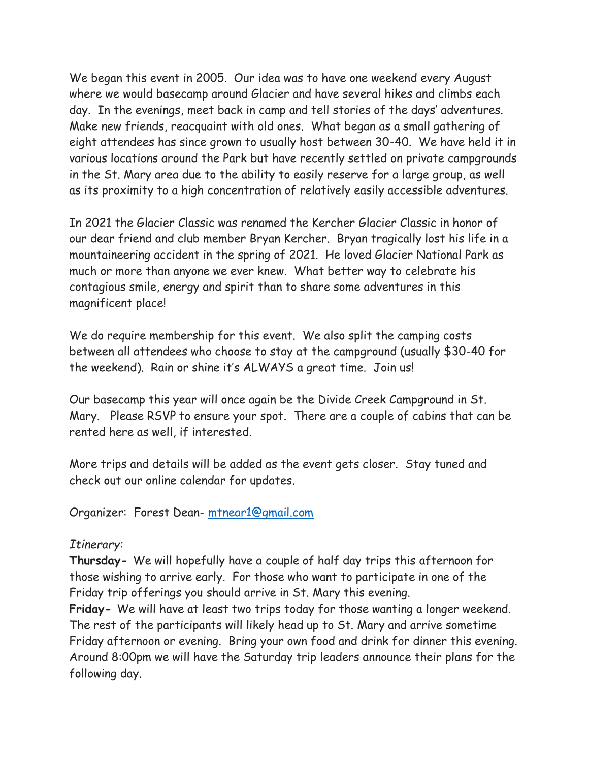We began this event in 2005. Our idea was to have one weekend every August where we would basecamp around Glacier and have several hikes and climbs each day. In the evenings, meet back in camp and tell stories of the days' adventures. Make new friends, reacquaint with old ones. What began as a small gathering of eight attendees has since grown to usually host between 30-40. We have held it in various locations around the Park but have recently settled on private campgrounds in the St. Mary area due to the ability to easily reserve for a large group, as well as its proximity to a high concentration of relatively easily accessible adventures.

In 2021 the Glacier Classic was renamed the Kercher Glacier Classic in honor of our dear friend and club member Bryan Kercher. Bryan tragically lost his life in a mountaineering accident in the spring of 2021. He loved Glacier National Park as much or more than anyone we ever knew. What better way to celebrate his contagious smile, energy and spirit than to share some adventures in this magnificent place!

We do require membership for this event. We also split the camping costs between all attendees who choose to stay at the campground (usually \$30-40 for the weekend). Rain or shine it's ALWAYS a great time. Join us!

Our basecamp this year will once again be the Divide Creek Campground in St. Mary. Please RSVP to ensure your spot. There are a couple of cabins that can be rented here as well, if interested.

More trips and details will be added as the event gets closer. Stay tuned and check out our online calendar for updates.

Organizer: Forest Dean- [mtnear1@gmail.com](mailto:mtnear1@gmail.com)

# *Itinerary:*

**Thursday-** We will hopefully have a couple of half day trips this afternoon for those wishing to arrive early. For those who want to participate in one of the Friday trip offerings you should arrive in St. Mary this evening.

**Friday-** We will have at least two trips today for those wanting a longer weekend. The rest of the participants will likely head up to St. Mary and arrive sometime Friday afternoon or evening. Bring your own food and drink for dinner this evening. Around 8:00pm we will have the Saturday trip leaders announce their plans for the following day.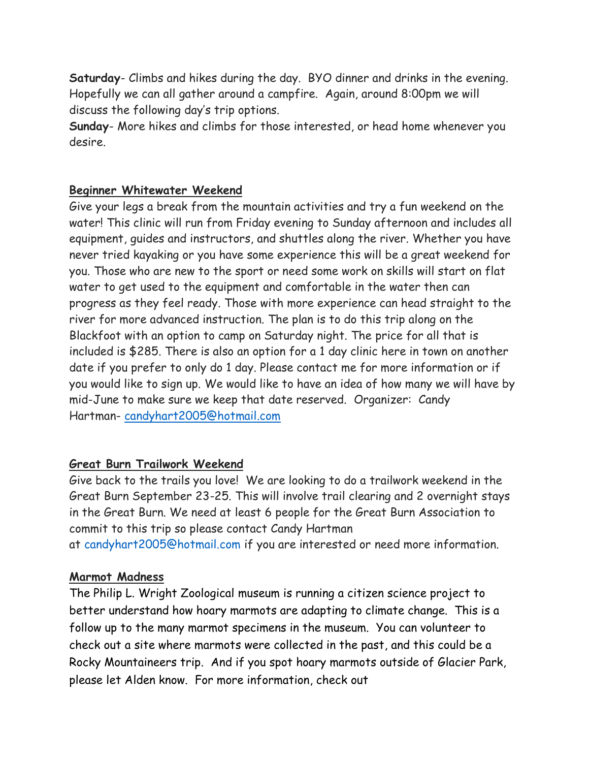**Saturday**- Climbs and hikes during the day. BYO dinner and drinks in the evening. Hopefully we can all gather around a campfire. Again, around 8:00pm we will discuss the following day's trip options.

**Sunday**- More hikes and climbs for those interested, or head home whenever you desire.

### **Beginner Whitewater Weekend**

Give your legs a break from the mountain activities and try a fun weekend on the water! This clinic will run from Friday evening to Sunday afternoon and includes all equipment, guides and instructors, and shuttles along the river. Whether you have never tried kayaking or you have some experience this will be a great weekend for you. Those who are new to the sport or need some work on skills will start on flat water to get used to the equipment and comfortable in the water then can progress as they feel ready. Those with more experience can head straight to the river for more advanced instruction. The plan is to do this trip along on the Blackfoot with an option to camp on Saturday night. The price for all that is included is \$285. There is also an option for a 1 day clinic here in town on another date if you prefer to only do 1 day. Please contact me for more information or if you would like to sign up. We would like to have an idea of how many we will have by mid-June to make sure we keep that date reserved. Organizer: Candy Hartman- [candyhart2005@hotmail.com](mailto:candyhart2005@hotmail.com)

### **Great Burn Trailwork Weekend**

Give back to the trails you love! We are looking to do a trailwork weekend in the Great Burn September 23-25. This will involve trail clearing and 2 overnight stays in the Great Burn. We need at least 6 people for the Great Burn Association to commit to this trip so please contact Candy Hartman at [candyhart2005@hotmail.com](mailto:candyhart2005@hotmail.com) if you are interested or need more information.

### **Marmot Madness**

The Philip L. Wright Zoological museum is running a citizen science project to better understand how hoary marmots are adapting to climate change. This is a follow up to the many marmot specimens in the museum. You can volunteer to check out a site where marmots were collected in the past, and this could be a Rocky Mountaineers trip. And if you spot hoary marmots outside of Glacier Park, please let Alden know. For more information, check out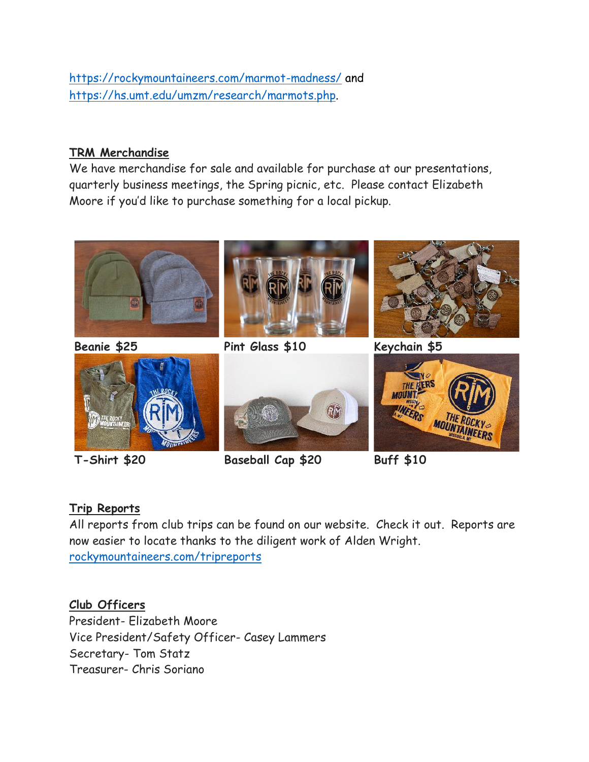<https://rockymountaineers.com/marmot-madness/> and [https://hs.umt.edu/umzm/research/marmots.php.](https://hs.umt.edu/umzm/research/marmots.php)

### **TRM Merchandise**

We have merchandise for sale and available for purchase at our presentations, quarterly business meetings, the Spring picnic, etc. Please contact Elizabeth Moore if you'd like to purchase something for a local pickup.



**T-Shirt \$20 Baseball Cap \$20 Buff \$10**

# **Trip Reports**

All reports from club trips can be found on our website. Check it out. Reports are now easier to locate thanks to the diligent work of Alden Wright. [rockymountaineers.com/tripreports](http://rockymountaineers.com/tripreports/)

# **Club Officers**

President- Elizabeth Moore Vice President/Safety Officer- Casey Lammers Secretary- Tom Statz Treasurer- Chris Soriano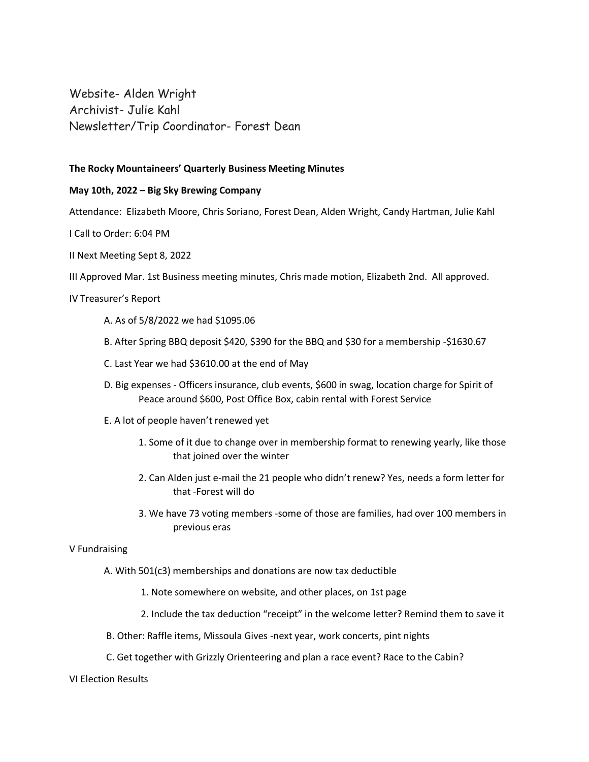Website- Alden Wright Archivist- Julie Kahl Newsletter/Trip Coordinator- Forest Dean

### **The Rocky Mountaineers' Quarterly Business Meeting Minutes**

#### **May 10th, 2022 – Big Sky Brewing Company**

Attendance: Elizabeth Moore, Chris Soriano, Forest Dean, Alden Wright, Candy Hartman, Julie Kahl

I Call to Order: 6:04 PM

II Next Meeting Sept 8, 2022

III Approved Mar. 1st Business meeting minutes, Chris made motion, Elizabeth 2nd. All approved.

IV Treasurer's Report

- A. As of 5/8/2022 we had \$1095.06
- B. After Spring BBQ deposit \$420, \$390 for the BBQ and \$30 for a membership -\$1630.67
- C. Last Year we had \$3610.00 at the end of May
- D. Big expenses Officers insurance, club events, \$600 in swag, location charge for Spirit of Peace around \$600, Post Office Box, cabin rental with Forest Service
- E. A lot of people haven't renewed yet
	- 1. Some of it due to change over in membership format to renewing yearly, like those that joined over the winter
	- 2. Can Alden just e-mail the 21 people who didn't renew? Yes, needs a form letter for that -Forest will do
	- 3. We have 73 voting members -some of those are families, had over 100 members in previous eras

#### V Fundraising

- A. With 501(c3) memberships and donations are now tax deductible
	- 1. Note somewhere on website, and other places, on 1st page
	- 2. Include the tax deduction "receipt" in the welcome letter? Remind them to save it
- B. Other: Raffle items, Missoula Gives -next year, work concerts, pint nights
- C. Get together with Grizzly Orienteering and plan a race event? Race to the Cabin?

#### VI Election Results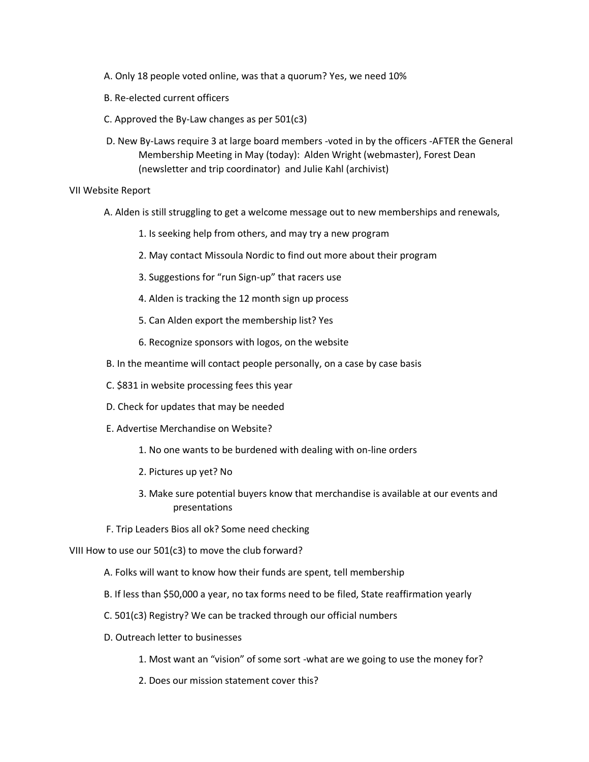- A. Only 18 people voted online, was that a quorum? Yes, we need 10%
- B. Re-elected current officers
- C. Approved the By-Law changes as per 501(c3)
- D. New By-Laws require 3 at large board members -voted in by the officers -AFTER the General Membership Meeting in May (today): Alden Wright (webmaster), Forest Dean (newsletter and trip coordinator) and Julie Kahl (archivist)

#### VII Website Report

- A. Alden is still struggling to get a welcome message out to new memberships and renewals,
	- 1. Is seeking help from others, and may try a new program
	- 2. May contact Missoula Nordic to find out more about their program
	- 3. Suggestions for "run Sign-up" that racers use
	- 4. Alden is tracking the 12 month sign up process
	- 5. Can Alden export the membership list? Yes
	- 6. Recognize sponsors with logos, on the website
- B. In the meantime will contact people personally, on a case by case basis
- C. \$831 in website processing fees this year
- D. Check for updates that may be needed
- E. Advertise Merchandise on Website?
	- 1. No one wants to be burdened with dealing with on-line orders
	- 2. Pictures up yet? No
	- 3. Make sure potential buyers know that merchandise is available at our events and presentations
- F. Trip Leaders Bios all ok? Some need checking

VIII How to use our 501(c3) to move the club forward?

- A. Folks will want to know how their funds are spent, tell membership
- B. If less than \$50,000 a year, no tax forms need to be filed, State reaffirmation yearly
- C. 501(c3) Registry? We can be tracked through our official numbers
- D. Outreach letter to businesses
	- 1. Most want an "vision" of some sort -what are we going to use the money for?
	- 2. Does our mission statement cover this?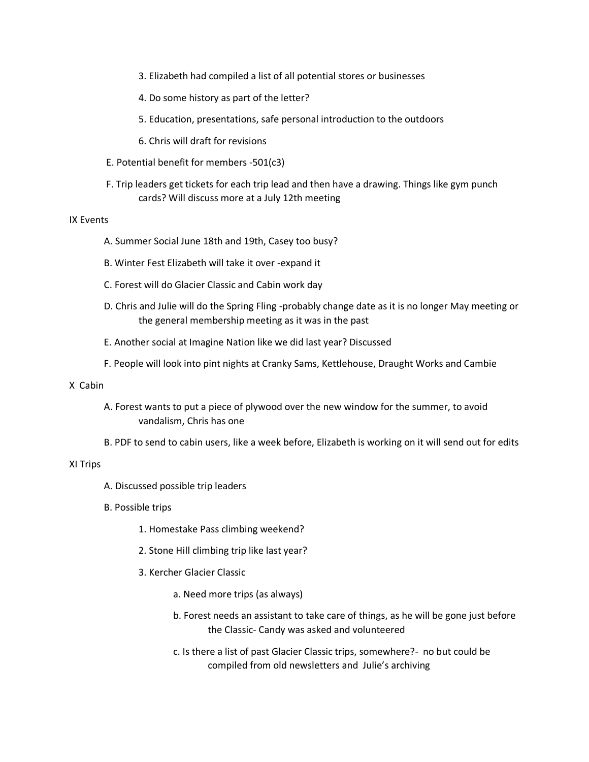- 3. Elizabeth had compiled a list of all potential stores or businesses
- 4. Do some history as part of the letter?
- 5. Education, presentations, safe personal introduction to the outdoors
- 6. Chris will draft for revisions
- E. Potential benefit for members -501(c3)
- F. Trip leaders get tickets for each trip lead and then have a drawing. Things like gym punch cards? Will discuss more at a July 12th meeting

#### IX Events

- A. Summer Social June 18th and 19th, Casey too busy?
- B. Winter Fest Elizabeth will take it over -expand it
- C. Forest will do Glacier Classic and Cabin work day
- D. Chris and Julie will do the Spring Fling -probably change date as it is no longer May meeting or the general membership meeting as it was in the past
- E. Another social at Imagine Nation like we did last year? Discussed
- F. People will look into pint nights at Cranky Sams, Kettlehouse, Draught Works and Cambie

#### X Cabin

- A. Forest wants to put a piece of plywood over the new window for the summer, to avoid vandalism, Chris has one
- B. PDF to send to cabin users, like a week before, Elizabeth is working on it will send out for edits

#### XI Trips

- A. Discussed possible trip leaders
- B. Possible trips
	- 1. Homestake Pass climbing weekend?
	- 2. Stone Hill climbing trip like last year?
	- 3. Kercher Glacier Classic
		- a. Need more trips (as always)
		- b. Forest needs an assistant to take care of things, as he will be gone just before the Classic- Candy was asked and volunteered
		- c. Is there a list of past Glacier Classic trips, somewhere?- no but could be compiled from old newsletters and Julie's archiving